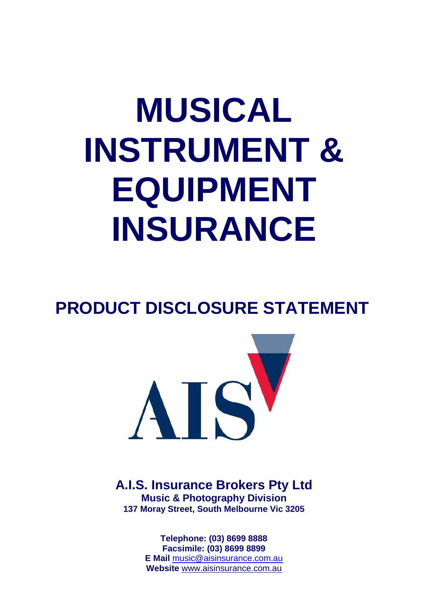# **MUSICAL INSTRUMENT & EQUIPMENT INSURANCE**

## **PRODUCT DISCLOSURE STATEMENT**



**A.I.S. Insurance Brokers Pty Ltd Music & Photography Division 137 Moray Street, South Melbourne Vic 3205**

> **Telephone: (03) 8699 8888 Facsimile: (03) 8699 8899 E Mail** [music@aisinsurance.com.au](mailto:music@aisinsurance.com.au) **Website** [www.aisinsurance.com.au](http://www.aisinsurance.com.au/)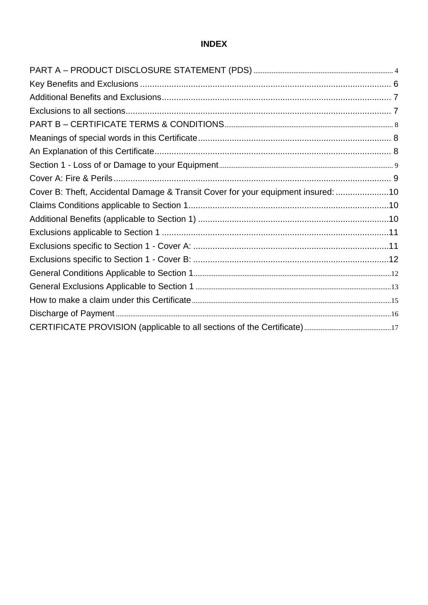## **INDEX**

| Cover B: Theft, Accidental Damage & Transit Cover for your equipment insured: 10 |
|----------------------------------------------------------------------------------|
|                                                                                  |
|                                                                                  |
|                                                                                  |
|                                                                                  |
|                                                                                  |
|                                                                                  |
|                                                                                  |
|                                                                                  |
|                                                                                  |
|                                                                                  |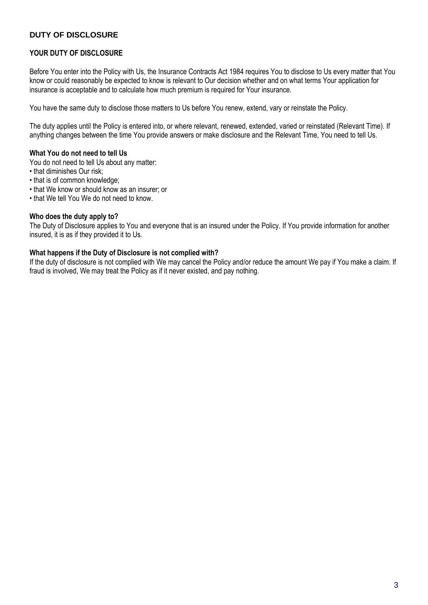#### **DUTY OF DISCLOSURE**

#### **YOUR DUTY OF DISCLOSURE**

Before You enter into the Policy with Us, the Insurance Contracts Act 1984 requires You to disclose to Us every matter that You know or could reasonably be expected to know is relevant to Our decision whether and on what terms Your application for insurance is acceptable and to calculate how much premium is required for Your insurance.

You have the same duty to disclose those matters to Us before You renew, extend, vary or reinstate the Policy.

The duty applies until the Policy is entered into, or where relevant, renewed, extended, varied or reinstated (Relevant Time). If anything changes between the time You provide answers or make disclosure and the Relevant Time, You need to tell Us.

#### **What You do not need to tell Us**

You do not need to tell Us about any matter:

- that diminishes Our risk;
- that is of common knowledge;
- that We know or should know as an insurer; or
- that We tell You We do not need to know.

#### **Who does the duty apply to?**

The Duty of Disclosure applies to You and everyone that is an insured under the Policy. If You provide information for another insured, it is as if they provided it to Us.

#### **What happens if the Duty of Disclosure is not complied with?**

If the duty of disclosure is not complied with We may cancel the Policy and/or reduce the amount We pay if You make a claim. If fraud is involved, We may treat the Policy as if it never existed, and pay nothing.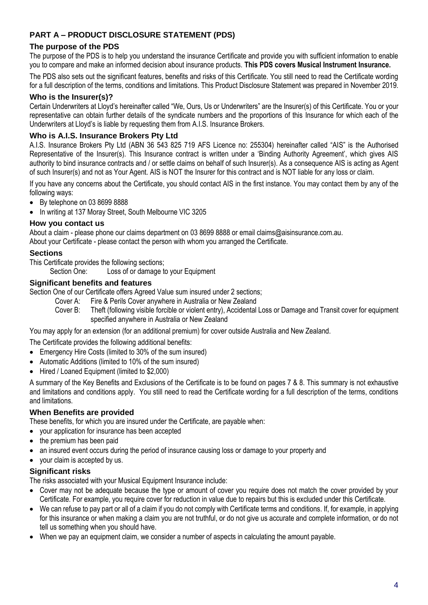#### <span id="page-3-0"></span>**PART A – PRODUCT DISCLOSURE STATEMENT (PDS)**

#### **The purpose of the PDS**

The purpose of the PDS is to help you understand the insurance Certificate and provide you with sufficient information to enable you to compare and make an informed decision about insurance products. **This PDS covers Musical Instrument Insurance.**

The PDS also sets out the significant features, benefits and risks of this Certificate. You still need to read the Certificate wording for a full description of the terms, conditions and limitations. This Product Disclosure Statement was prepared in November 2019.

#### **Who is the Insurer(s)?**

Certain Underwriters at Lloyd's hereinafter called "We, Ours, Us or Underwriters" are the Insurer(s) of this Certificate. You or your representative can obtain further details of the syndicate numbers and the proportions of this Insurance for which each of the Underwriters at Lloyd's is liable by requesting them from A.I.S. Insurance Brokers.

#### **Who is A.I.S. Insurance Brokers Pty Ltd**

A.I.S. Insurance Brokers Pty Ltd (ABN 36 543 825 719 AFS Licence no: 255304) hereinafter called "AIS" is the Authorised Representative of the Insurer(s). This Insurance contract is written under a 'Binding Authority Agreement', which gives AIS authority to bind insurance contracts and / or settle claims on behalf of such Insurer(s). As a consequence AIS is acting as Agent of such Insurer(s) and not as Your Agent. AIS is NOT the Insurer for this contract and is NOT liable for any loss or claim.

If you have any concerns about the Certificate, you should contact AIS in the first instance. You may contact them by any of the following ways:

- By telephone on 03 8699 8888
- In writing at 137 Moray Street, South Melbourne VIC 3205

#### **How you contact us**

About a claim - please phone our claims department on 03 8699 8888 or email claims@aisinsurance.com.au. About your Certificate - please contact the person with whom you arranged the Certificate.

#### **Sections**

This Certificate provides the following sections;

Section One: Loss of or damage to your Equipment

#### **Significant benefits and features**

Section One of our Certificate offers Agreed Value sum insured under 2 sections;

- Cover A: Fire & Perils Cover anywhere in Australia or New Zealand
- Cover B: Theft (following visible forcible or violent entry), Accidental Loss or Damage and Transit cover for equipment specified anywhere in Australia or New Zealand

You may apply for an extension (for an additional premium) for cover outside Australia and New Zealand.

The Certificate provides the following additional benefits:

- Emergency Hire Costs (limited to 30% of the sum insured)
- Automatic Additions (limited to 10% of the sum insured)
- Hired / Loaned Equipment (limited to \$2,000)

A summary of the Key Benefits and Exclusions of the Certificate is to be found on pages 7 & 8. This summary is not exhaustive and limitations and conditions apply. You still need to read the Certificate wording for a full description of the terms, conditions and limitations.

#### **When Benefits are provided**

These benefits, for which you are insured under the Certificate, are payable when:

- vour application for insurance has been accepted
- the premium has been paid
- an insured event occurs during the period of insurance causing loss or damage to your property and
- your claim is accepted by us.

#### **Significant risks**

The risks associated with your Musical Equipment Insurance include:

- Cover may not be adequate because the type or amount of cover you require does not match the cover provided by your Certificate. For example, you require cover for reduction in value due to repairs but this is excluded under this Certificate.
- We can refuse to pay part or all of a claim if you do not comply with Certificate terms and conditions. If, for example, in applying for this insurance or when making a claim you are not truthful, or do not give us accurate and complete information, or do not tell us something when you should have.
- When we pay an equipment claim, we consider a number of aspects in calculating the amount payable.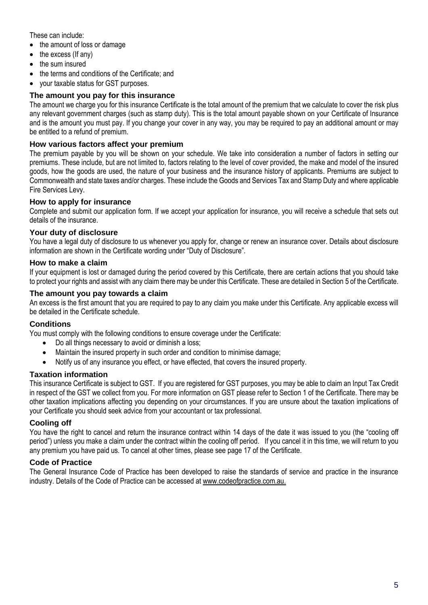These can include:

- the amount of loss or damage
- $\bullet$  the excess (If any)
- the sum insured
- the terms and conditions of the Certificate; and
- your taxable status for GST purposes.

#### **The amount you pay for this insurance**

The amount we charge you for this insurance Certificate is the total amount of the premium that we calculate to cover the risk plus any relevant government charges (such as stamp duty). This is the total amount payable shown on your Certificate of Insurance and is the amount you must pay. If you change your cover in any way, you may be required to pay an additional amount or may be entitled to a refund of premium.

#### **How various factors affect your premium**

The premium payable by you will be shown on your schedule. We take into consideration a number of factors in setting our premiums. These include, but are not limited to, factors relating to the level of cover provided, the make and model of the insured goods, how the goods are used, the nature of your business and the insurance history of applicants. Premiums are subject to Commonwealth and state taxes and/or charges. These include the Goods and Services Tax and Stamp Duty and where applicable Fire Services Levy.

#### **How to apply for insurance**

Complete and submit our application form. If we accept your application for insurance, you will receive a schedule that sets out details of the insurance.

#### **Your duty of disclosure**

You have a legal duty of disclosure to us whenever you apply for, change or renew an insurance cover. Details about disclosure information are shown in the Certificate wording under "Duty of Disclosure".

#### **How to make a claim**

If your equipment is lost or damaged during the period covered by this Certificate, there are certain actions that you should take to protect your rights and assist with any claim there may be under this Certificate. These are detailed in Section 5 of the Certificate.

#### **The amount you pay towards a claim**

An excess is the first amount that you are required to pay to any claim you make under this Certificate. Any applicable excess will be detailed in the Certificate schedule.

#### **Conditions**

You must comply with the following conditions to ensure coverage under the Certificate:

- Do all things necessary to avoid or diminish a loss;
- Maintain the insured property in such order and condition to minimise damage;
- Notify us of any insurance you effect, or have effected, that covers the insured property.

#### **Taxation information**

This insurance Certificate is subject to GST. If you are registered for GST purposes, you may be able to claim an Input Tax Credit in respect of the GST we collect from you. For more information on GST please refer to Section 1 of the Certificate. There may be other taxation implications affecting you depending on your circumstances. If you are unsure about the taxation implications of your Certificate you should seek advice from your accountant or tax professional.

#### **Cooling off**

You have the right to cancel and return the insurance contract within 14 days of the date it was issued to you (the "cooling off period") unless you make a claim under the contract within the cooling off period. If you cancel it in this time, we will return to you any premium you have paid us. To cancel at other times, please see page 17 of the Certificate.

#### **Code of Practice**

The General Insurance Code of Practice has been developed to raise the standards of service and practice in the insurance industry. Details of the Code of Practice can be accessed at [www.codeofpractice.com.au.](http://www.codeofpractice.com.au/)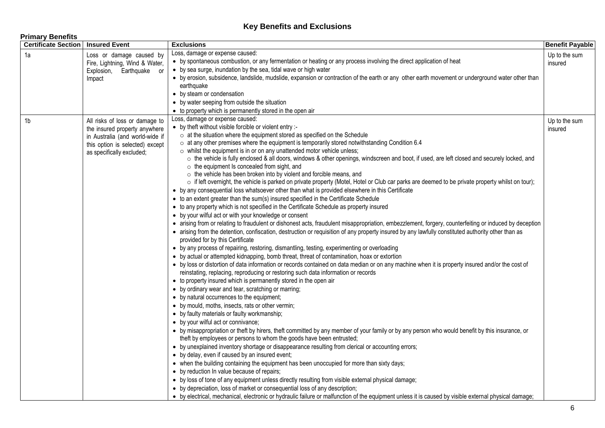#### **Key Benefits and Exclusions**

**Primary Benefits**

<span id="page-5-0"></span>

| <b>Certificate Section</b> | <b>Insured Event</b>            | <b>Exclusions</b>                                                                                                                                                                      | <b>Benefit Payable</b> |  |
|----------------------------|---------------------------------|----------------------------------------------------------------------------------------------------------------------------------------------------------------------------------------|------------------------|--|
| 1a                         | Loss or damage caused by        | Loss, damage or expense caused:                                                                                                                                                        | Up to the sum          |  |
|                            | Fire, Lightning, Wind & Water,  | • by spontaneous combustion, or any fermentation or heating or any process involving the direct application of heat                                                                    | insured                |  |
|                            | Explosion, Earthquake or        | • by sea surge, inundation by the sea, tidal wave or high water                                                                                                                        |                        |  |
|                            | Impact                          | • by erosion, subsidence, landslide, mudslide, expansion or contraction of the earth or any other earth movement or underground water other than                                       |                        |  |
|                            |                                 | earthquake                                                                                                                                                                             |                        |  |
|                            |                                 | • by steam or condensation                                                                                                                                                             |                        |  |
|                            |                                 | • by water seeping from outside the situation                                                                                                                                          |                        |  |
|                            |                                 | • to property which is permanently stored in the open air                                                                                                                              |                        |  |
| 1 <sub>b</sub>             | All risks of loss or damage to  | Loss, damage or expense caused:                                                                                                                                                        | Up to the sum          |  |
|                            | the insured property anywhere   | • by theft without visible forcible or violent entry :-                                                                                                                                | insured                |  |
|                            | in Australia (and world-wide if | o at the situation where the equipment stored as specified on the Schedule                                                                                                             |                        |  |
|                            | this option is selected) except | $\circ$ at any other premises where the equipment is temporarily stored notwithstanding Condition 6.4                                                                                  |                        |  |
|                            | as specifically excluded;       | $\circ$ whilst the equipment is in or on any unattended motor vehicle unless;                                                                                                          |                        |  |
|                            |                                 | ○ the vehicle is fully enclosed & all doors, windows & other openings, windscreen and boot, if used, are left closed and securely locked, and                                          |                        |  |
|                            |                                 | $\circ$ the equipment Is concealed from sight, and                                                                                                                                     |                        |  |
|                            |                                 | $\circ$ the vehicle has been broken into by violent and forcible means, and                                                                                                            |                        |  |
|                            |                                 | o if left overnight, the vehicle is parked on private property (Motel, Hotel or Club car parks are deemed to be private property whilst on tour);                                      |                        |  |
|                            |                                 | • by any consequential loss whatsoever other than what is provided elsewhere in this Certificate                                                                                       |                        |  |
|                            |                                 | • to an extent greater than the sum(s) insured specified in the Certificate Schedule                                                                                                   |                        |  |
|                            |                                 | • to any property which is not specified in the Certificate Schedule as property insured                                                                                               |                        |  |
|                            |                                 | • by your wilful act or with your knowledge or consent                                                                                                                                 |                        |  |
|                            |                                 | • arising from or relating to fraudulent or dishonest acts, fraudulent misappropriation, embezzlement, forgery, counterfeiting or induced by deception                                 |                        |  |
|                            |                                 | • arising from the detention, confiscation, destruction or requisition of any property insured by any lawfully constituted authority other than as<br>provided for by this Certificate |                        |  |
|                            |                                 | • by any process of repairing, restoring, dismantling, testing, experimenting or overloading                                                                                           |                        |  |
|                            |                                 | • by actual or attempted kidnapping, bomb threat, threat of contamination, hoax or extortion                                                                                           |                        |  |
|                            |                                 | • by loss or distortion of data information or records contained on data median or on any machine when it is property insured and/or the cost of                                       |                        |  |
|                            |                                 | reinstating, replacing, reproducing or restoring such data information or records                                                                                                      |                        |  |
|                            |                                 | • to property insured which is permanently stored in the open air                                                                                                                      |                        |  |
|                            |                                 | • by ordinary wear and tear, scratching or marring;                                                                                                                                    |                        |  |
|                            |                                 | • by natural occurrences to the equipment;                                                                                                                                             |                        |  |
|                            |                                 | • by mould, moths, insects, rats or other vermin;                                                                                                                                      |                        |  |
|                            |                                 | • by faulty materials or faulty workmanship;                                                                                                                                           |                        |  |
|                            |                                 | • by your wilful act or connivance;                                                                                                                                                    |                        |  |
|                            |                                 | • by misappropriation or theft by hirers, theft committed by any member of your family or by any person who would benefit by this insurance, or                                        |                        |  |
|                            |                                 | theft by employees or persons to whom the goods have been entrusted;                                                                                                                   |                        |  |
|                            |                                 | • by unexplained inventory shortage or disappearance resulting from clerical or accounting errors;                                                                                     |                        |  |
|                            |                                 | • by delay, even if caused by an insured event;                                                                                                                                        |                        |  |
|                            |                                 | • when the building containing the equipment has been unoccupied for more than sixty days;                                                                                             |                        |  |
|                            |                                 | • by reduction In value because of repairs;                                                                                                                                            |                        |  |
|                            |                                 | • by loss of tone of any equipment unless directly resulting from visible external physical damage;                                                                                    |                        |  |
|                            |                                 | • by depreciation, loss of market or consequential loss of any description;                                                                                                            |                        |  |
|                            |                                 |                                                                                                                                                                                        |                        |  |
|                            |                                 | • by electrical, mechanical, electronic or hydraulic failure or malfunction of the equipment unless it is caused by visible external physical damage;                                  |                        |  |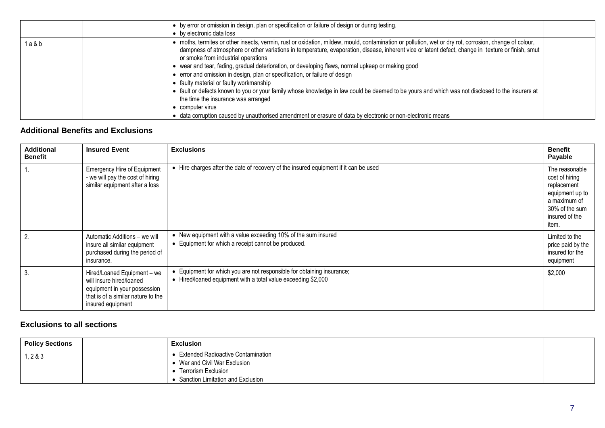|         | • by error or omission in design, plan or specification or failure of design or during testing.<br>• by electronic data loss                                                                                                                                                                                                                                                                                                                                                                                                                                                                                                                                                                                                                                                                                                                                                                                     |  |
|---------|------------------------------------------------------------------------------------------------------------------------------------------------------------------------------------------------------------------------------------------------------------------------------------------------------------------------------------------------------------------------------------------------------------------------------------------------------------------------------------------------------------------------------------------------------------------------------------------------------------------------------------------------------------------------------------------------------------------------------------------------------------------------------------------------------------------------------------------------------------------------------------------------------------------|--|
| 1 a & b | • moths, termites or other insects, vermin, rust or oxidation, mildew, mould, contamination or pollution, wet or dry rot, corrosion, change of colour,<br>dampness of atmosphere or other variations in temperature, evaporation, disease, inherent vice or latent defect, change in texture or finish, smut<br>or smoke from industrial operations<br>• wear and tear, fading, gradual deterioration, or developing flaws, normal upkeep or making good<br>• error and omission in design, plan or specification, or failure of design<br>• faulty material or faulty workmanship<br>• fault or defects known to you or your family whose knowledge in law could be deemed to be yours and which was not disclosed to the insurers at<br>the time the insurance was arranged<br>• computer virus<br>• data corruption caused by unauthorised amendment or erasure of data by electronic or non-electronic means |  |

#### **Additional Benefits and Exclusions**

| <b>Additional</b><br><b>Benefit</b> | <b>Insured Event</b>                                                                                                                               | <b>Exclusions</b>                                                                                                                       | <b>Benefit</b><br>Payable                                                                                                       |
|-------------------------------------|----------------------------------------------------------------------------------------------------------------------------------------------------|-----------------------------------------------------------------------------------------------------------------------------------------|---------------------------------------------------------------------------------------------------------------------------------|
|                                     | <b>Emergency Hire of Equipment</b><br>- we will pay the cost of hiring<br>similar equipment after a loss                                           | • Hire charges after the date of recovery of the insured equipment if it can be used                                                    | The reasonable<br>cost of hiring<br>replacement<br>equipment up to<br>a maximum of<br>30% of the sum<br>insured of the<br>item. |
| 2.                                  | Automatic Additions - we will<br>insure all similar equipment<br>purchased during the period of<br>insurance.                                      | • New equipment with a value exceeding 10% of the sum insured<br>• Equipment for which a receipt cannot be produced.                    | Limited to the<br>price paid by the<br>insured for the<br>equipment                                                             |
| 3.                                  | Hired/Loaned Equipment - we<br>will insure hired/loaned<br>equipment in your possession<br>that is of a similar nature to the<br>insured equipment | • Equipment for which you are not responsible for obtaining insurance;<br>• Hired/loaned equipment with a total value exceeding \$2,000 | \$2,000                                                                                                                         |

#### <span id="page-6-0"></span>**Exclusions to all sections**

<span id="page-6-1"></span>

| <b>Policy Sections</b> | <b>Exclusion</b>                                                                                                                  |  |
|------------------------|-----------------------------------------------------------------------------------------------------------------------------------|--|
| 1, 2 & 3               | • Extended Radioactive Contamination<br>• War and Civil War Exclusion<br>Terrorism Exclusion<br>Sanction Limitation and Exclusion |  |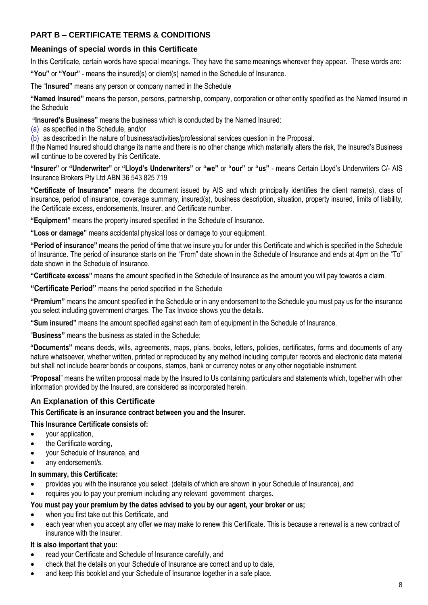### <span id="page-7-0"></span>**PART B – CERTIFICATE TERMS & CONDITIONS**

#### <span id="page-7-1"></span>**Meanings of special words in this Certificate**

In this Certificate, certain words have special meanings. They have the same meanings wherever they appear. These words are:

**"You"** or **"Your"** - means the insured(s) or client(s) named in the Schedule of Insurance.

The "**Insured"** means any person or company named in the Schedule

**"Named Insured"** means the person, persons, partnership, company, corporation or other entity specified as the Named Insured in the Schedule

**"Insured's Business"** means the business which is conducted by the Named Insured:

(a) as specified in the Schedule, and/or

(b) as described in the nature of business/activities/professional services question in the Proposal.

If the Named Insured should change its name and there is no other change which materially alters the risk, the Insured's Business will continue to be covered by this Certificate.

**"Insurer"** or **"Underwriter"** or **"Lloyd's Underwriters"** or **"we"** or **"our"** or **"us"** - means Certain Lloyd's Underwriters C/- AIS Insurance Brokers Pty Ltd ABN 36 543 825 719

**"Certificate of Insurance"** means the document issued by AIS and which principally identifies the client name(s), class of insurance, period of insurance, coverage summary, insured(s), business description, situation, property insured, limits of liability, the Certificate excess, endorsements, Insurer, and Certificate number.

**"Equipment"** means the property insured specified in the Schedule of Insurance.

**"Loss or damage"** means accidental physical loss or damage to your equipment.

**"Period of insurance"** means the period of time that we insure you for under this Certificate and which is specified in the Schedule of Insurance. The period of insurance starts on the "From" date shown in the Schedule of Insurance and ends at 4pm on the "To" date shown in the Schedule of Insurance.

**"Certificate excess"** means the amount specified in the Schedule of Insurance as the amount you will pay towards a claim.

**"Certificate Period"** means the period specified in the Schedule

**"Premium"** means the amount specified in the Schedule or in any endorsement to the Schedule you must pay us for the insurance you select including government charges. The Tax Invoice shows you the details.

**"Sum insured"** means the amount specified against each item of equipment in the Schedule of Insurance.

"**Business"** means the business as stated in the Schedule;

**"Documents"** means deeds, wills, agreements, maps, plans, books, letters, policies, certificates, forms and documents of any nature whatsoever, whether written, printed or reproduced by any method including computer records and electronic data material but shall not include bearer bonds or coupons, stamps, bank or currency notes or any other negotiable instrument.

"**Proposal**" means the written proposal made by the Insured to Us containing particulars and statements which, together with other information provided by the Insured, are considered as incorporated herein.

#### <span id="page-7-2"></span>**An Explanation of this Certificate**

**This Certificate is an insurance contract between you and the Insurer.** 

#### **This Insurance Certificate consists of:**

- vour application.
- the Certificate wording,
- your Schedule of Insurance, and
- any endorsement/s.

#### **In summary, this Certificate:**

- provides you with the insurance you select (details of which are shown in your Schedule of Insurance), and
- requires you to pay your premium including any relevant government charges.

#### **You must pay your premium by the dates advised to you by our agent, your broker or us;**

- when you first take out this Certificate, and
- each year when you accept any offer we may make to renew this Certificate. This is because a renewal is a new contract of insurance with the Insurer.

#### **It is also important that you:**

- read your Certificate and Schedule of Insurance carefully, and
- check that the details on your Schedule of Insurance are correct and up to date,
- and keep this booklet and your Schedule of Insurance together in a safe place.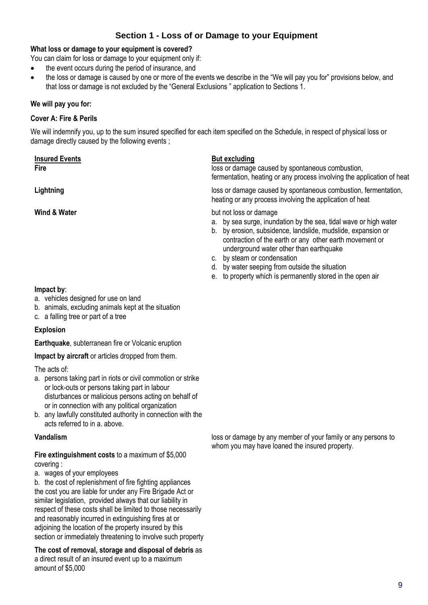#### **Section 1 - Loss of or Damage to your Equipment**

#### <span id="page-8-0"></span>**What loss or damage to your equipment is covered?**

You can claim for loss or damage to your equipment only if:

- the event occurs during the period of insurance, and
- the loss or damage is caused by one or more of the events we describe in the "We will pay you for" provisions below, and that loss or damage is not excluded by the "General Exclusions " application to Sections 1.

#### **We will pay you for:**

#### <span id="page-8-1"></span>**Cover A: Fire & Perils**

We will indemnify you, up to the sum insured specified for each item specified on the Schedule, in respect of physical loss or damage directly caused by the following events ;

#### **Insured Events But excluding**

**Fire** loss or damage caused by spontaneous combustion, fermentation, heating or any process involving the application of heat

**Lightning Lightning loss or damage caused by spontaneous combustion, fermentation,** heating or any process involving the application of heat

**Wind & Water but not loss or damage** 

- a. by sea surge, inundation by the sea, tidal wave or high water
- b. by erosion, subsidence, landslide, mudslide, expansion or contraction of the earth or any other earth movement or underground water other than earthquake
- c. by steam or condensation
- d. by water seeping from outside the situation
- e. to property which is permanently stored in the open air

#### **Impact by**:

- a. vehicles designed for use on land
- b. animals, excluding animals kept at the situation
- c. a falling tree or part of a tree

#### **Explosion**

**Earthquake**, subterranean fire or Volcanic eruption

**Impact by aircraft** or articles dropped from them.

The acts of:

- a. persons taking part in riots or civil commotion or strike or lock-outs or persons taking part in labour disturbances or malicious persons acting on behalf of or in connection with any political organization
- b. any lawfully constituted authority in connection with the acts referred to in a. above.

**Fire extinguishment costs** to a maximum of \$5,000 covering :

a. wages of your employees

b. the cost of replenishment of fire fighting appliances the cost you are liable for under any Fire Brigade Act or similar legislation, provided always that our liability in respect of these costs shall be limited to those necessarily and reasonably incurred in extinguishing fires at or adjoining the location of the property insured by this section or immediately threatening to involve such property

**The cost of removal, storage and disposal of debris** as a direct result of an insured event up to a maximum amount of \$5,000

**Vandalism Vandalism loss or damage by any member of your family or any persons to** whom you may have loaned the insured property.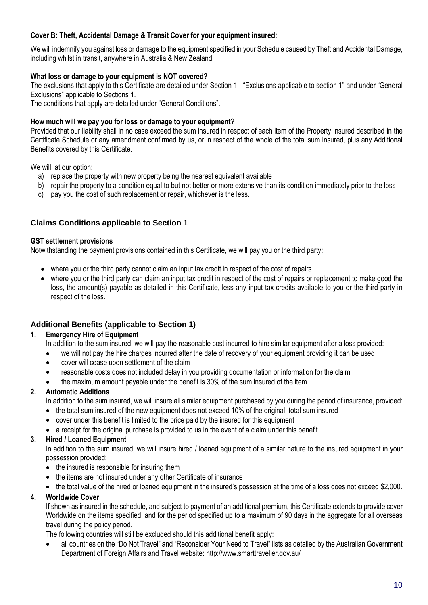#### <span id="page-9-0"></span>**Cover B: Theft, Accidental Damage & Transit Cover for your equipment insured:**

We will indemnify you against loss or damage to the equipment specified in your Schedule caused by Theft and Accidental Damage, including whilst in transit, anywhere in Australia & New Zealand

#### **What loss or damage to your equipment is NOT covered?**

The exclusions that apply to this Certificate are detailed under Section 1 - "Exclusions applicable to section 1" and under "General Exclusions" applicable to Sections 1.

The conditions that apply are detailed under "General Conditions".

#### **How much will we pay you for loss or damage to your equipment?**

Provided that our liability shall in no case exceed the sum insured in respect of each item of the Property Insured described in the Certificate Schedule or any amendment confirmed by us, or in respect of the whole of the total sum insured, plus any Additional Benefits covered by this Certificate.

We will, at our option:

- a) replace the property with new property being the nearest equivalent available
- b) repair the property to a condition equal to but not better or more extensive than its condition immediately prior to the loss
- c) pay you the cost of such replacement or repair, whichever is the less.

#### <span id="page-9-1"></span>**Claims Conditions applicable to Section 1**

#### **GST settlement provisions**

Notwithstanding the payment provisions contained in this Certificate, we will pay you or the third party:

- where you or the third party cannot claim an input tax credit in respect of the cost of repairs
- where you or the third party can claim an input tax credit in respect of the cost of repairs or replacement to make good the loss, the amount(s) payable as detailed in this Certificate, less any input tax credits available to you or the third party in respect of the loss.

#### <span id="page-9-2"></span>**Additional Benefits (applicable to Section 1)**

#### **1. Emergency Hire of Equipment**

In addition to the sum insured, we will pay the reasonable cost incurred to hire similar equipment after a loss provided:

- we will not pay the hire charges incurred after the date of recovery of your equipment providing it can be used
- cover will cease upon settlement of the claim
- reasonable costs does not included delay in you providing documentation or information for the claim
- the maximum amount payable under the benefit is 30% of the sum insured of the item

#### **2. Automatic Additions**

In addition to the sum insured, we will insure all similar equipment purchased by you during the period of insurance, provided:

- the total sum insured of the new equipment does not exceed 10% of the original total sum insured
- cover under this benefit is limited to the price paid by the insured for this equipment
- a receipt for the original purchase is provided to us in the event of a claim under this benefit

#### **3. Hired / Loaned Equipment**

In addition to the sum insured, we will insure hired / loaned equipment of a similar nature to the insured equipment in your possession provided:

- the insured is responsible for insuring them
- the items are not insured under any other Certificate of insurance
- the total value of the hired or loaned equipment in the insured's possession at the time of a loss does not exceed \$2,000.

#### **4. Worldwide Cover**

If shown as insured in the schedule, and subject to payment of an additional premium, this Certificate extends to provide cover Worldwide on the items specified, and for the period specified up to a maximum of 90 days in the aggregate for all overseas travel during the policy period.

The following countries will still be excluded should this additional benefit apply:

 all countries on the "Do Not Travel" and "Reconsider Your Need to Travel" lists as detailed by the Australian Government Department of Foreign Affairs and Travel website[: http://www.smarttraveller.gov.au/](http://www.smarttraveller.gov.au/)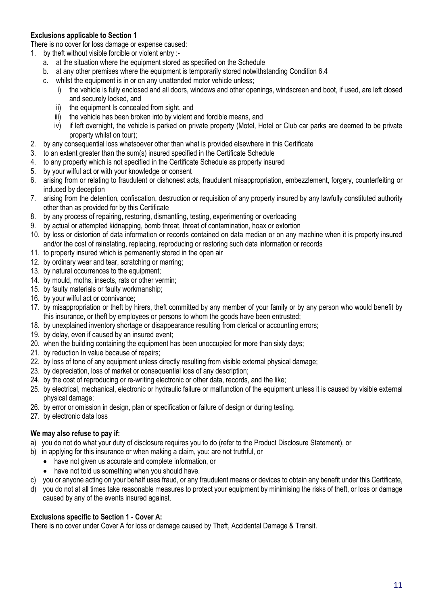#### <span id="page-10-0"></span>**Exclusions applicable to Section 1**

There is no cover for loss damage or expense caused:

- 1. by theft without visible forcible or violent entry :
	- a. at the situation where the equipment stored as specified on the Schedule
	- b. at any other premises where the equipment is temporarily stored notwithstanding Condition 6.4
	- c. whilst the equipment is in or on any unattended motor vehicle unless;
		- i) the vehicle is fully enclosed and all doors, windows and other openings, windscreen and boot, if used, are left closed and securely locked, and
		- ii) the equipment Is concealed from sight, and
		- iii) the vehicle has been broken into by violent and forcible means, and
		- iv) if left overnight, the vehicle is parked on private property (Motel, Hotel or Club car parks are deemed to be private property whilst on tour);
- 2. by any consequential loss whatsoever other than what is provided elsewhere in this Certificate
- 3. to an extent greater than the sum(s) insured specified in the Certificate Schedule
- 4. to any property which is not specified in the Certificate Schedule as property insured
- 5. by your wilful act or with your knowledge or consent
- 6. arising from or relating to fraudulent or dishonest acts, fraudulent misappropriation, embezzlement, forgery, counterfeiting or induced by deception
- 7. arising from the detention, confiscation, destruction or requisition of any property insured by any lawfully constituted authority other than as provided for by this Certificate
- 8. by any process of repairing, restoring, dismantling, testing, experimenting or overloading
- 9. by actual or attempted kidnapping, bomb threat, threat of contamination, hoax or extortion
- 10. by loss or distortion of data information or records contained on data median or on any machine when it is property insured and/or the cost of reinstating, replacing, reproducing or restoring such data information or records
- 11. to property insured which is permanently stored in the open air
- 12. by ordinary wear and tear, scratching or marring;
- 13. by natural occurrences to the equipment;
- 14. by mould, moths, insects, rats or other vermin;
- 15. by faulty materials or faulty workmanship;
- 16. by your wilful act or connivance;
- 17. by misappropriation or theft by hirers, theft committed by any member of your family or by any person who would benefit by this insurance, or theft by employees or persons to whom the goods have been entrusted;
- 18. by unexplained inventory shortage or disappearance resulting from clerical or accounting errors;
- 19. by delay, even if caused by an insured event;
- 20. when the building containing the equipment has been unoccupied for more than sixty days;
- 21. by reduction In value because of repairs;
- 22. by loss of tone of any equipment unless directly resulting from visible external physical damage;
- 23. by depreciation, loss of market or consequential loss of any description;
- 24. by the cost of reproducing or re-writing electronic or other data, records, and the like;
- 25. by electrical, mechanical, electronic or hydraulic failure or malfunction of the equipment unless it is caused by visible external physical damage;
- 26. by error or omission in design, plan or specification or failure of design or during testing.
- 27. by electronic data loss

#### **We may also refuse to pay if:**

- a) you do not do what your duty of disclosure requires you to do (refer to the Product Disclosure Statement), or
- b) in applying for this insurance or when making a claim, you: are not truthful, or
	- have not given us accurate and complete information, or
	- have not told us something when you should have.
- c) you or anyone acting on your behalf uses fraud, or any fraudulent means or devices to obtain any benefit under this Certificate,
- d) you do not at all times take reasonable measures to protect your equipment by minimising the risks of theft, or loss or damage caused by any of the events insured against.

#### <span id="page-10-1"></span>**Exclusions specific to Section 1 - Cover A:**

There is no cover under Cover A for loss or damage caused by Theft, Accidental Damage & Transit.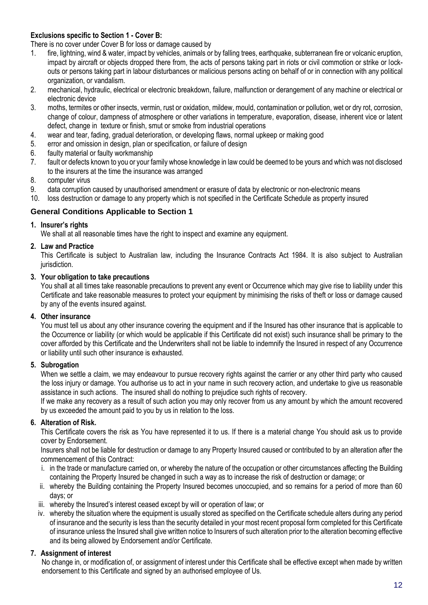#### <span id="page-11-0"></span>**Exclusions specific to Section 1 - Cover B:**

There is no cover under Cover B for loss or damage caused by

- 1. fire, lightning, wind & water, impact by vehicles, animals or by falling trees, earthquake, subterranean fire or volcanic eruption, impact by aircraft or objects dropped there from, the acts of persons taking part in riots or civil commotion or strike or lockouts or persons taking part in labour disturbances or malicious persons acting on behalf of or in connection with any political organization, or vandalism.
- 2. mechanical, hydraulic, electrical or electronic breakdown, failure, malfunction or derangement of any machine or electrical or electronic device
- 3. moths, termites or other insects, vermin, rust or oxidation, mildew, mould, contamination or pollution, wet or dry rot, corrosion, change of colour, dampness of atmosphere or other variations in temperature, evaporation, disease, inherent vice or latent defect, change in texture or finish, smut or smoke from industrial operations
- 4. wear and tear, fading, gradual deterioration, or developing flaws, normal upkeep or making good
- 5. error and omission in design, plan or specification, or failure of design
- 6. faulty material or faulty workmanship
- 7. fault or defects known to you or your family whose knowledge in law could be deemed to be yours and which was not disclosed to the insurers at the time the insurance was arranged
- 8. computer virus
- 9. data corruption caused by unauthorised amendment or erasure of data by electronic or non-electronic means
- 10. loss destruction or damage to any property which is not specified in the Certificate Schedule as property insured

#### <span id="page-11-1"></span>**General Conditions Applicable to Section 1**

#### **1. Insurer's rights**

We shall at all reasonable times have the right to inspect and examine any equipment.

#### **2. Law and Practice**

This Certificate is subject to Australian law, including the Insurance Contracts Act 1984. It is also subject to Australian iurisdiction.

#### **3. Your obligation to take precautions**

You shall at all times take reasonable precautions to prevent any event or Occurrence which may give rise to liability under this Certificate and take reasonable measures to protect your equipment by minimising the risks of theft or loss or damage caused by any of the events insured against.

#### **4. Other insurance**

You must tell us about any other insurance covering the equipment and if the Insured has other insurance that is applicable to the Occurrence or liability (or which would be applicable if this Certificate did not exist) such insurance shall be primary to the cover afforded by this Certificate and the Underwriters shall not be liable to indemnify the Insured in respect of any Occurrence or liability until such other insurance is exhausted.

#### **5. Subrogation**

When we settle a claim, we may endeavour to pursue recovery rights against the carrier or any other third party who caused the loss injury or damage. You authorise us to act in your name in such recovery action, and undertake to give us reasonable assistance in such actions. The insured shall do nothing to prejudice such rights of recovery.

If we make any recovery as a result of such action you may only recover from us any amount by which the amount recovered by us exceeded the amount paid to you by us in relation to the loss.

#### **6. Alteration of Risk.**

This Certificate covers the risk as You have represented it to us. If there is a material change You should ask us to provide cover by Endorsement.

Insurers shall not be liable for destruction or damage to any Property Insured caused or contributed to by an alteration after the commencement of this Contract:

- i. in the trade or manufacture carried on, or whereby the nature of the occupation or other circumstances affecting the Building containing the Property Insured be changed in such a way as to increase the risk of destruction or damage; or
- ii. whereby the Building containing the Property Insured becomes unoccupied, and so remains for a period of more than 60 days; or
- iii. whereby the Insured's interest ceased except by will or operation of law; or
- iv. whereby the situation where the equipment is usually stored as specified on the Certificate schedule alters during any period of insurance and the security is less than the security detailed in your most recent proposal form completed for this Certificate of insurance unless the Insured shall give written notice to Insurers of such alteration prior to the alteration becoming effective and its being allowed by Endorsement and/or Certificate.

#### **7. Assignment of interest**

No change in, or modification of, or assignment of interest under this Certificate shall be effective except when made by written endorsement to this Certificate and signed by an authorised employee of Us.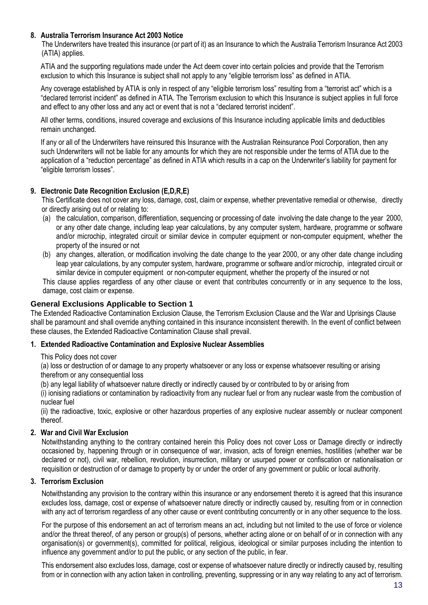#### **8. Australia Terrorism Insurance Act 2003 Notice**

The Underwriters have treated this insurance (or part of it) as an Insurance to which the Australia Terrorism Insurance Act 2003 (ATIA) applies.

ATIA and the supporting regulations made under the Act deem cover into certain policies and provide that the Terrorism exclusion to which this Insurance is subject shall not apply to any "eligible terrorism loss" as defined in ATIA.

Any coverage established by ATIA is only in respect of any "eligible terrorism loss" resulting from a "terrorist act" which is a "declared terrorist incident" as defined in ATIA. The Terrorism exclusion to which this Insurance is subject applies in full force and effect to any other loss and any act or event that is not a "declared terrorist incident".

All other terms, conditions, insured coverage and exclusions of this Insurance including applicable limits and deductibles remain unchanged.

If any or all of the Underwriters have reinsured this Insurance with the Australian Reinsurance Pool Corporation, then any such Underwriters will not be liable for any amounts for which they are not responsible under the terms of ATIA due to the application of a "reduction percentage" as defined in ATIA which results in a cap on the Underwriter's liability for payment for "eligible terrorism losses".

#### **9. Electronic Date Recognition Exclusion (E,D,R,E)**

This Certificate does not cover any loss, damage, cost, claim or expense, whether preventative remedial or otherwise, directly or directly arising out of or relating to:

- (a) the calculation, comparison, differentiation, sequencing or processing of date involving the date change to the year 2000, or any other date change, including leap year calculations, by any computer system, hardware, programme or software and/or microchip, integrated circuit or similar device in computer equipment or non-computer equipment, whether the property of the insured or not
- (b) any changes, alteration, or modification involving the date change to the year 2000, or any other date change including leap year calculations, by any computer system, hardware, programme or software and/or microchip, integrated circuit or similar device in computer equipment or non-computer equipment, whether the property of the insured or not

This clause applies regardless of any other clause or event that contributes concurrently or in any sequence to the loss, damage, cost claim or expense.

#### <span id="page-12-0"></span>**General Exclusions Applicable to Section 1**

The Extended Radioactive Contamination Exclusion Clause, the Terrorism Exclusion Clause and the War and Uprisings Clause shall be paramount and shall override anything contained in this insurance inconsistent therewith. In the event of conflict between these clauses, the Extended Radioactive Contamination Clause shall prevail.

#### **1. Extended Radioactive Contamination and Explosive Nuclear Assemblies**

This Policy does not cover

(a) loss or destruction of or damage to any property whatsoever or any loss or expense whatsoever resulting or arising therefrom or any consequential loss

(b) any legal liability of whatsoever nature directly or indirectly caused by or contributed to by or arising from

(i) ionising radiations or contamination by radioactivity from any nuclear fuel or from any nuclear waste from the combustion of nuclear fuel

(ii) the radioactive, toxic, explosive or other hazardous properties of any explosive nuclear assembly or nuclear component thereof.

#### **2. War and Civil War Exclusion**

Notwithstanding anything to the contrary contained herein this Policy does not cover Loss or Damage directly or indirectly occasioned by, happening through or in consequence of war, invasion, acts of foreign enemies, hostilities (whether war be declared or not), civil war, rebellion, revolution, insurrection, military or usurped power or confiscation or nationalisation or requisition or destruction of or damage to property by or under the order of any government or public or local authority.

#### **3. Terrorism Exclusion**

Notwithstanding any provision to the contrary within this insurance or any endorsement thereto it is agreed that this insurance excludes loss, damage, cost or expense of whatsoever nature directly or indirectly caused by, resulting from or in connection with any act of terrorism regardless of any other cause or event contributing concurrently or in any other sequence to the loss.

For the purpose of this endorsement an act of terrorism means an act, including but not limited to the use of force or violence and/or the threat thereof, of any person or group(s) of persons, whether acting alone or on behalf of or in connection with any organisation(s) or government(s), committed for political, religious, ideological or similar purposes including the intention to influence any government and/or to put the public, or any section of the public, in fear.

This endorsement also excludes loss, damage, cost or expense of whatsoever nature directly or indirectly caused by, resulting from or in connection with any action taken in controlling, preventing, suppressing or in any way relating to any act of terrorism.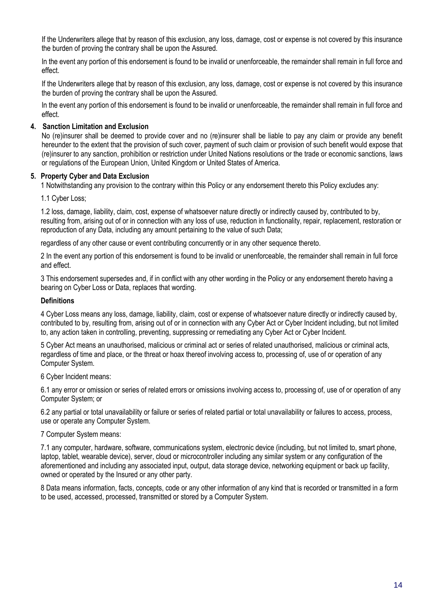If the Underwriters allege that by reason of this exclusion, any loss, damage, cost or expense is not covered by this insurance the burden of proving the contrary shall be upon the Assured.

In the event any portion of this endorsement is found to be invalid or unenforceable, the remainder shall remain in full force and effect.

If the Underwriters allege that by reason of this exclusion, any loss, damage, cost or expense is not covered by this insurance the burden of proving the contrary shall be upon the Assured.

In the event any portion of this endorsement is found to be invalid or unenforceable, the remainder shall remain in full force and effect.

#### **4. Sanction Limitation and Exclusion**

No (re)insurer shall be deemed to provide cover and no (re)insurer shall be liable to pay any claim or provide any benefit hereunder to the extent that the provision of such cover, payment of such claim or provision of such benefit would expose that (re)insurer to any sanction, prohibition or restriction under United Nations resolutions or the trade or economic sanctions, laws or regulations of the European Union, United Kingdom or United States of America.

#### **5. Property Cyber and Data Exclusion**

1 Notwithstanding any provision to the contrary within this Policy or any endorsement thereto this Policy excludes any:

1.1 Cyber Loss;

1.2 loss, damage, liability, claim, cost, expense of whatsoever nature directly or indirectly caused by, contributed to by, resulting from, arising out of or in connection with any loss of use, reduction in functionality, repair, replacement, restoration or reproduction of any Data, including any amount pertaining to the value of such Data;

regardless of any other cause or event contributing concurrently or in any other sequence thereto.

2 In the event any portion of this endorsement is found to be invalid or unenforceable, the remainder shall remain in full force and effect.

3 This endorsement supersedes and, if in conflict with any other wording in the Policy or any endorsement thereto having a bearing on Cyber Loss or Data, replaces that wording.

#### **Definitions**

4 Cyber Loss means any loss, damage, liability, claim, cost or expense of whatsoever nature directly or indirectly caused by, contributed to by, resulting from, arising out of or in connection with any Cyber Act or Cyber Incident including, but not limited to, any action taken in controlling, preventing, suppressing or remediating any Cyber Act or Cyber Incident.

5 Cyber Act means an unauthorised, malicious or criminal act or series of related unauthorised, malicious or criminal acts, regardless of time and place, or the threat or hoax thereof involving access to, processing of, use of or operation of any Computer System.

#### 6 Cyber Incident means:

6.1 any error or omission or series of related errors or omissions involving access to, processing of, use of or operation of any Computer System; or

6.2 any partial or total unavailability or failure or series of related partial or total unavailability or failures to access, process, use or operate any Computer System.

#### 7 Computer System means:

7.1 any computer, hardware, software, communications system, electronic device (including, but not limited to, smart phone, laptop, tablet, wearable device), server, cloud or microcontroller including any similar system or any configuration of the aforementioned and including any associated input, output, data storage device, networking equipment or back up facility, owned or operated by the Insured or any other party.

8 Data means information, facts, concepts, code or any other information of any kind that is recorded or transmitted in a form to be used, accessed, processed, transmitted or stored by a Computer System.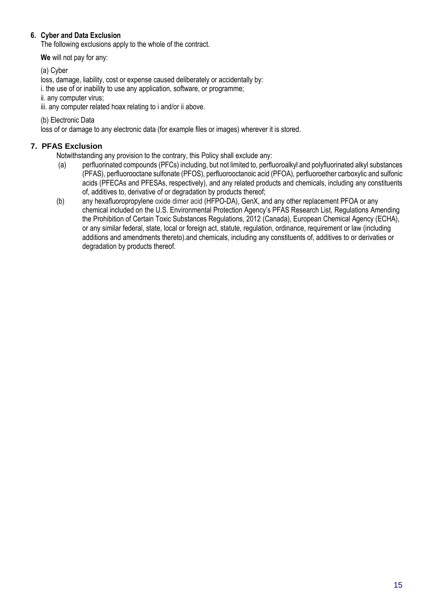#### **6. Cyber and Data Exclusion**

The following exclusions apply to the whole of the contract.

**We** will not pay for any:

(a) Cyber

loss, damage, liability, cost or expense caused deliberately or accidentally by:

i. the use of or inability to use any application, software, or programme;

ii. any computer virus; iii. any computer related hoax relating to i and/or ii above.

(b) Electronic Data

loss of or damage to any electronic data (for example files or images) wherever it is stored.

#### <span id="page-14-0"></span>**7. PFAS Exclusion**

Notwithstanding any provision to the contrary, this Policy shall exclude any:

- (a) perfluorinated compounds (PFCs) including, but not limited to, perfluoroalkyl and polyfluorinated alkyl substances (PFAS), perfluorooctane sulfonate (PFOS), perfluorooctanoic acid (PFOA), perfluoroether carboxylic and sulfonic acids (PFECAs and PFESAs, respectively), and any related products and chemicals, including any constituents of, additives to, derivative of or degradation by products thereof;
- (b) any hexafluoropropylene oxide dimer acid (HFPO-DA), GenX, and any other replacement PFOA or any chemical included on the U.S. Environmental Protection Agency's PFAS Research List*,* [Regulations Amending](https://pollution-waste.canada.ca/environmental-protection-registry/regulations/view?Id=131)  [the Prohibition of Certain Toxic Substances Regulations, 2012](https://pollution-waste.canada.ca/environmental-protection-registry/regulations/view?Id=131) (Canada)*,* European Chemical Agency (ECHA), or any similar federal, state, local or foreign act, statute, regulation, ordinance, requirement or law (including additions and amendments thereto).and chemicals, including any constituents of, additives to or derivaties or degradation by products thereof.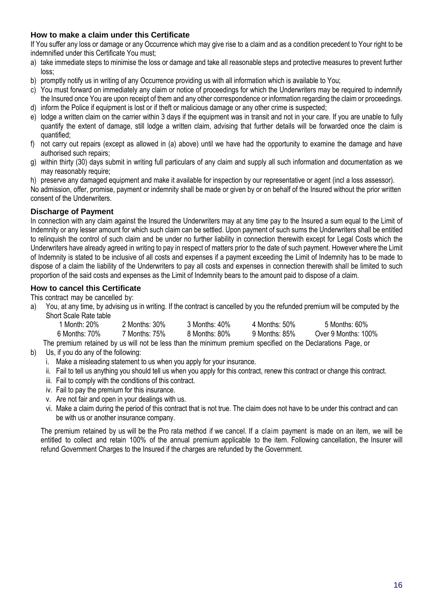#### **How to make a claim under this Certificate**

If You suffer any loss or damage or any Occurrence which may give rise to a claim and as a condition precedent to Your right to be indemnified under this Certificate You must;

- a) take immediate steps to minimise the loss or damage and take all reasonable steps and protective measures to prevent further loss;
- b) promptly notify us in writing of any Occurrence providing us with all information which is available to You;
- c) You must forward on immediately any claim or notice of proceedings for which the Underwriters may be required to indemnify the Insured once You are upon receipt of them and any other correspondence or information regarding the claim or proceedings. d) inform the Police if equipment is lost or if theft or malicious damage or any other crime is suspected;
- 
- e) lodge a written claim on the carrier within 3 days if the equipment was in transit and not in your care. If you are unable to fully quantify the extent of damage, still lodge a written claim, advising that further details will be forwarded once the claim is quantified;
- f) not carry out repairs (except as allowed in (a) above) until we have had the opportunity to examine the damage and have authorised such repairs;
- g) within thirty (30) days submit in writing full particulars of any claim and supply all such information and documentation as we may reasonably require:

h) preserve any damaged equipment and make it available for inspection by our representative or agent (incl a loss assessor). No admission, offer, promise, payment or indemnity shall be made or given by or on behalf of the Insured without the prior written

consent of the Underwriters.

#### <span id="page-15-0"></span>**Discharge of Payment**

In connection with any claim against the Insured the Underwriters may at any time pay to the Insured a sum equal to the Limit of Indemnity or any lesser amount for which such claim can be settled. Upon payment of such sums the Underwriters shall be entitled to relinquish the control of such claim and be under no further liability in connection therewith except for Legal Costs which the Underwriters have already agreed in writing to pay in respect of matters prior to the date of such payment. However where the Limit of Indemnity is stated to be inclusive of all costs and expenses if a payment exceeding the Limit of Indemnity has to be made to dispose of a claim the liability of the Underwriters to pay all costs and expenses in connection therewith shall be limited to such proportion of the said costs and expenses as the Limit of Indemnity bears to the amount paid to dispose of a claim.

#### **How to cancel this Certificate**

This contract may be cancelled by:

a) You, at any time, by advising us in writing. If the contract is cancelled by you the refunded premium will be computed by the Short Scale Rate table

| 1 Month: 20%  | 2 Months: 30% | 3 Months: 40% | 4 Months: 50% | 5 Months: 60%       |
|---------------|---------------|---------------|---------------|---------------------|
| 6 Months: 70% | 7 Months: 75% | 8 Months: 80% | 9 Months: 85% | Over 9 Months: 100% |
|               |               |               |               |                     |

The premium retained by us will not be less than the minimum premium specified on the Declarations Page, or

- b) Us, if you do any of the following:
	- i. Make a misleading statement to us when you apply for your insurance.
	- ii. Fail to tell us anything you should tell us when you apply for this contract, renew this contract or change this contract.
	- iii. Fail to comply with the conditions of this contract.
	- iv. Fail to pay the premium for this insurance.
	- v. Are not fair and open in your dealings with us.
	- vi. Make a claim during the period of this contract that is not true. The claim does not have to be under this contract and can be with us or another insurance company.

The premium retained by us will be the Pro rata method if we cancel. If a claim payment is made on an item, we will be entitled to collect and retain 100% of the annual premium applicable to the item. Following cancellation, the Insurer will refund Government Charges to the Insured if the charges are refunded by the Government.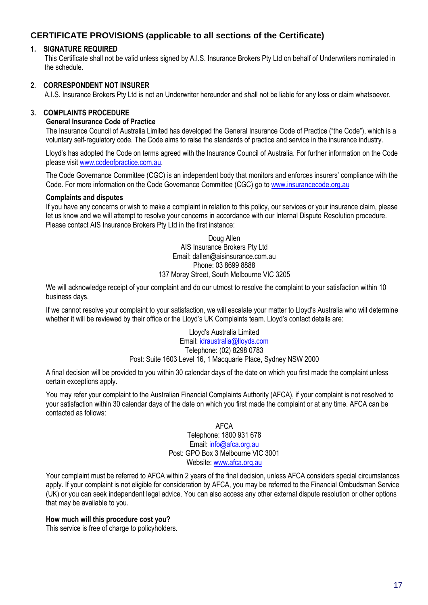#### <span id="page-16-0"></span>**CERTIFICATE PROVISIONS (applicable to all sections of the Certificate)**

#### **1. SIGNATURE REQUIRED**

This Certificate shall not be valid unless signed by A.I.S. Insurance Brokers Pty Ltd on behalf of Underwriters nominated in the schedule.

#### **2. CORRESPONDENT NOT INSURER**

A.I.S. Insurance Brokers Pty Ltd is not an Underwriter hereunder and shall not be liable for any loss or claim whatsoever.

#### **3. COMPLAINTS PROCEDURE**

#### **General Insurance Code of Practice**

The Insurance Council of Australia Limited has developed the General Insurance Code of Practice ("the Code"), which is a voluntary self-regulatory code. The Code aims to raise the standards of practice and service in the insurance industry.

Lloyd's has adopted the Code on terms agreed with the Insurance Council of Australia. For further information on the Code please visit [www.codeofpractice.com.au.](http://www.codeofpractice.com.au/)

The Code Governance Committee (CGC) is an independent body that monitors and enforces insurers' compliance with the Code. For more information on the Code Governance Committee (CGC) go to [www.insurancecode.org.au](http://www.insurancecode.org.au/)

#### **Complaints and disputes**

If you have any concerns or wish to make a complaint in relation to this policy, our services or your insurance claim, please let us know and we will attempt to resolve your concerns in accordance with our Internal Dispute Resolution procedure. Please contact AIS Insurance Brokers Pty Ltd in the first instance:

> Doug Allen AIS Insurance Brokers Pty Ltd Email: dallen@aisinsurance.com.au Phone: 03 8699 8888 137 Moray Street, South Melbourne VIC 3205

We will acknowledge receipt of your complaint and do our utmost to resolve the complaint to your satisfaction within 10 business days.

If we cannot resolve your complaint to your satisfaction, we will escalate your matter to Lloyd's Australia who will determine whether it will be reviewed by their office or the Lloyd's UK Complaints team. Lloyd's contact details are:

> Lloyd's Australia Limited Email: idraustralia@lloyds.com Telephone: (02) 8298 0783 Post: Suite 1603 Level 16, 1 Macquarie Place, Sydney NSW 2000

A final decision will be provided to you within 30 calendar days of the date on which you first made the complaint unless certain exceptions apply.

You may refer your complaint to the Australian Financial Complaints Authority (AFCA), if your complaint is not resolved to your satisfaction within 30 calendar days of the date on which you first made the complaint or at any time. AFCA can be contacted as follows:

> AFCA Telephone: 1800 931 678 Email: info@afca.org.au Post: GPO Box 3 Melbourne VIC 3001 Website: [www.afca.org.au](http://www.afca.org.au/)

Your complaint must be referred to AFCA within 2 years of the final decision, unless AFCA considers special circumstances apply. If your complaint is not eligible for consideration by AFCA, you may be referred to the Financial Ombudsman Service (UK) or you can seek independent legal advice. You can also access any other external dispute resolution or other options that may be available to you.

#### **How much will this procedure cost you?**

This service is free of charge to policyholders.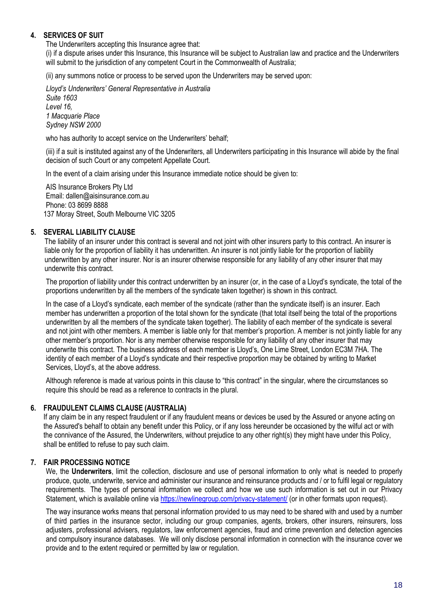#### **4. SERVICES OF SUIT**

The Underwriters accepting this Insurance agree that:

(i) if a dispute arises under this Insurance, this Insurance will be subject to Australian law and practice and the Underwriters will submit to the jurisdiction of any competent Court in the Commonwealth of Australia;

(ii) any summons notice or process to be served upon the Underwriters may be served upon:

*Lloyd's Underwriters' General Representative in Australia Suite 1603 Level 16, 1 Macquarie Place Sydney NSW 2000*

who has authority to accept service on the Underwriters' behalf;

(iii) if a suit is instituted against any of the Underwriters, all Underwriters participating in this Insurance will abide by the final decision of such Court or any competent Appellate Court.

In the event of a claim arising under this Insurance immediate notice should be given to:

AIS Insurance Brokers Pty Ltd Email: dallen@aisinsurance.com.au Phone: 03 8699 8888 137 Moray Street, South Melbourne VIC 3205

#### **5. SEVERAL LIABILITY CLAUSE**

The liability of an insurer under this contract is several and not joint with other insurers party to this contract. An insurer is liable only for the proportion of liability it has underwritten. An insurer is not jointly liable for the proportion of liability underwritten by any other insurer. Nor is an insurer otherwise responsible for any liability of any other insurer that may underwrite this contract.

The proportion of liability under this contract underwritten by an insurer (or, in the case of a Lloyd's syndicate, the total of the proportions underwritten by all the members of the syndicate taken together) is shown in this contract.

In the case of a Lloyd's syndicate, each member of the syndicate (rather than the syndicate itself) is an insurer. Each member has underwritten a proportion of the total shown for the syndicate (that total itself being the total of the proportions underwritten by all the members of the syndicate taken together). The liability of each member of the syndicate is several and not joint with other members. A member is liable only for that member's proportion. A member is not jointly liable for any other member's proportion. Nor is any member otherwise responsible for any liability of any other insurer that may underwrite this contract. The business address of each member is Lloyd's, One Lime Street, London EC3M 7HA. The identity of each member of a Lloyd's syndicate and their respective proportion may be obtained by writing to Market Services, Lloyd's, at the above address.

Although reference is made at various points in this clause to "this contract" in the singular, where the circumstances so require this should be read as a reference to contracts in the plural.

#### **6. FRAUDULENT CLAIMS CLAUSE (AUSTRALIA)**

If any claim be in any respect fraudulent or if any fraudulent means or devices be used by the Assured or anyone acting on the Assured's behalf to obtain any benefit under this Policy, or if any loss hereunder be occasioned by the wilful act or with the connivance of the Assured, the Underwriters, without prejudice to any other right(s) they might have under this Policy, shall be entitled to refuse to pay such claim.

#### **7. FAIR PROCESSING NOTICE**

We, the **Underwriters**, limit the collection, disclosure and use of personal information to only what is needed to properly produce, quote, underwrite, service and administer our insurance and reinsurance products and / or to fulfil legal or regulatory requirements. The types of personal information we collect and how we use such information is set out in our Privacy Statement, which is available online via<https://newlinegroup.com/privacy-statement/> (or in other formats upon request).

The way insurance works means that personal information provided to us may need to be shared with and used by a number of third parties in the insurance sector, including our group companies, agents, brokers, other insurers, reinsurers, loss adjusters, professional advisers, regulators, law enforcement agencies, fraud and crime prevention and detection agencies and compulsory insurance databases. We will only disclose personal information in connection with the insurance cover we provide and to the extent required or permitted by law or regulation.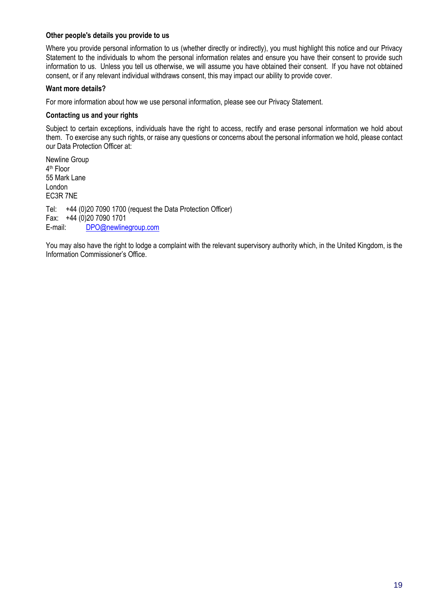#### **Other people's details you provide to us**

Where you provide personal information to us (whether directly or indirectly), you must highlight this notice and our Privacy Statement to the individuals to whom the personal information relates and ensure you have their consent to provide such information to us. Unless you tell us otherwise, we will assume you have obtained their consent. If you have not obtained consent, or if any relevant individual withdraws consent, this may impact our ability to provide cover.

#### **Want more details?**

For more information about how we use personal information, please see our Privacy Statement.

#### **Contacting us and your rights**

Subject to certain exceptions, individuals have the right to access, rectify and erase personal information we hold about them. To exercise any such rights, or raise any questions or concerns about the personal information we hold, please contact our Data Protection Officer at:

Newline Group 4 th Floor 55 Mark Lane London EC3R 7NE Tel: +44 (0)20 7090 1700 (request the Data Protection Officer) Fax: +44 (0)20 7090 1701 E-mail: [DPO@newlinegroup.com](mailto:DPO@newlinegroup.com)

You may also have the right to lodge a complaint with the relevant supervisory authority which, in the United Kingdom, is the Information Commissioner's Office.